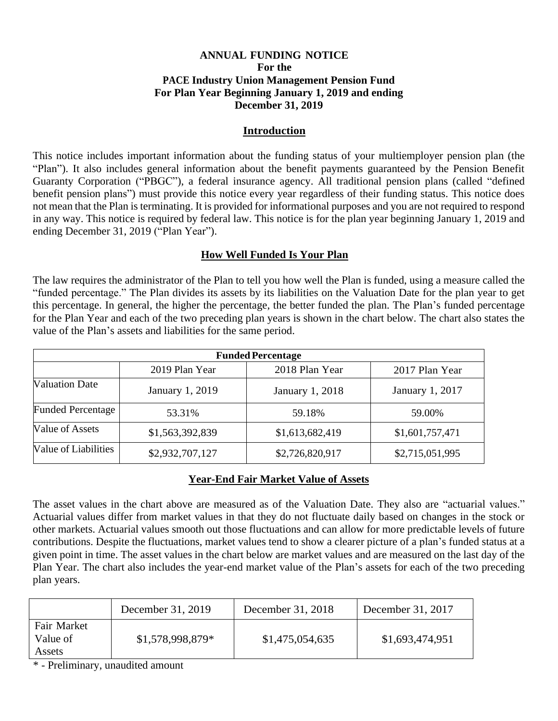## **ANNUAL FUNDING NOTICE For the PACE Industry Union Management Pension Fund For Plan Year Beginning January 1, 2019 and ending December 31, 2019**

#### **Introduction**

This notice includes important information about the funding status of your multiemployer pension plan (the "Plan"). It also includes general information about the benefit payments guaranteed by the Pension Benefit Guaranty Corporation ("PBGC"), a federal insurance agency. All traditional pension plans (called "defined benefit pension plans") must provide this notice every year regardless of their funding status. This notice does not mean that the Plan is terminating. It is provided for informational purposes and you are not required to respond in any way. This notice is required by federal law. This notice is for the plan year beginning January 1, 2019 and ending December 31, 2019 ("Plan Year").

#### **How Well Funded Is Your Plan**

The law requires the administrator of the Plan to tell you how well the Plan is funded, using a measure called the "funded percentage." The Plan divides its assets by its liabilities on the Valuation Date for the plan year to get this percentage. In general, the higher the percentage, the better funded the plan. The Plan's funded percentage for the Plan Year and each of the two preceding plan years is shown in the chart below. The chart also states the value of the Plan's assets and liabilities for the same period.

| <b>Funded Percentage</b> |                 |                        |                 |  |  |
|--------------------------|-----------------|------------------------|-----------------|--|--|
|                          | 2019 Plan Year  | 2018 Plan Year         | 2017 Plan Year  |  |  |
| <b>Valuation Date</b>    | January 1, 2019 | <b>January 1, 2018</b> | January 1, 2017 |  |  |
| <b>Funded Percentage</b> | 53.31%          | 59.18%                 | 59.00%          |  |  |
| <b>Value of Assets</b>   | \$1,563,392,839 | \$1,613,682,419        | \$1,601,757,471 |  |  |
| Value of Liabilities     | \$2,932,707,127 | \$2,726,820,917        | \$2,715,051,995 |  |  |

# **Year-End Fair Market Value of Assets**

The asset values in the chart above are measured as of the Valuation Date. They also are "actuarial values." Actuarial values differ from market values in that they do not fluctuate daily based on changes in the stock or other markets. Actuarial values smooth out those fluctuations and can allow for more predictable levels of future contributions. Despite the fluctuations, market values tend to show a clearer picture of a plan's funded status at a given point in time. The asset values in the chart below are market values and are measured on the last day of the Plan Year. The chart also includes the year-end market value of the Plan's assets for each of the two preceding plan years.

|                                   | December 31, 2019 | December 31, 2018 | December 31, 2017 |
|-----------------------------------|-------------------|-------------------|-------------------|
| Fair Market<br>Value of<br>Assets | \$1,578,998,879*  | \$1,475,054,635   | \$1,693,474,951   |

\* - Preliminary, unaudited amount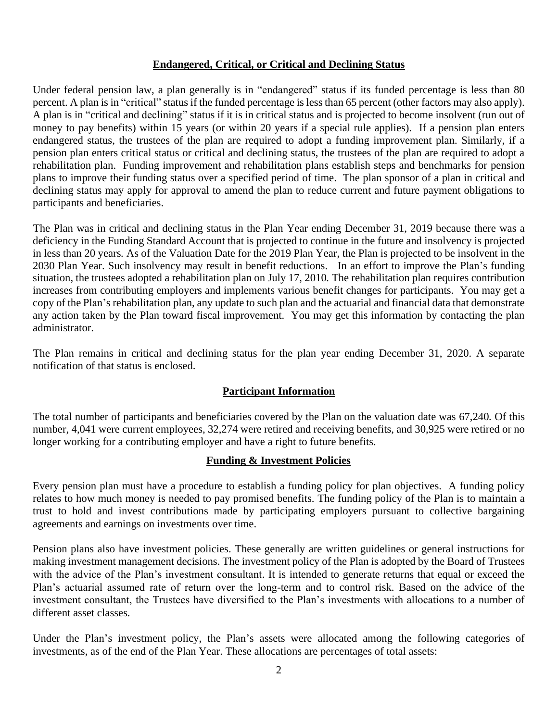# **Endangered, Critical, or Critical and Declining Status**

Under federal pension law, a plan generally is in "endangered" status if its funded percentage is less than 80 percent. A plan is in "critical" status if the funded percentage is less than 65 percent (other factors may also apply). A plan is in "critical and declining" status if it is in critical status and is projected to become insolvent (run out of money to pay benefits) within 15 years (or within 20 years if a special rule applies). If a pension plan enters endangered status, the trustees of the plan are required to adopt a funding improvement plan. Similarly, if a pension plan enters critical status or critical and declining status, the trustees of the plan are required to adopt a rehabilitation plan. Funding improvement and rehabilitation plans establish steps and benchmarks for pension plans to improve their funding status over a specified period of time. The plan sponsor of a plan in critical and declining status may apply for approval to amend the plan to reduce current and future payment obligations to participants and beneficiaries.

The Plan was in critical and declining status in the Plan Year ending December 31, 2019 because there was a deficiency in the Funding Standard Account that is projected to continue in the future and insolvency is projected in less than 20 years*.* As of the Valuation Date for the 2019 Plan Year, the Plan is projected to be insolvent in the 2030 Plan Year. Such insolvency may result in benefit reductions. In an effort to improve the Plan's funding situation, the trustees adopted a rehabilitation plan on July 17, 2010*.* The rehabilitation plan requires contribution increases from contributing employers and implements various benefit changes for participants. You may get a copy of the Plan's rehabilitation plan, any update to such plan and the actuarial and financial data that demonstrate any action taken by the Plan toward fiscal improvement. You may get this information by contacting the plan administrator.

The Plan remains in critical and declining status for the plan year ending December 31, 2020. A separate notification of that status is enclosed.

# **Participant Information**

The total number of participants and beneficiaries covered by the Plan on the valuation date was 67,240*.* Of this number, 4,041 were current employees, 32,274 were retired and receiving benefits, and 30,925 were retired or no longer working for a contributing employer and have a right to future benefits.

#### **Funding & Investment Policies**

Every pension plan must have a procedure to establish a funding policy for plan objectives. A funding policy relates to how much money is needed to pay promised benefits. The funding policy of the Plan is to maintain a trust to hold and invest contributions made by participating employers pursuant to collective bargaining agreements and earnings on investments over time.

Pension plans also have investment policies. These generally are written guidelines or general instructions for making investment management decisions. The investment policy of the Plan is adopted by the Board of Trustees with the advice of the Plan's investment consultant. It is intended to generate returns that equal or exceed the Plan's actuarial assumed rate of return over the long-term and to control risk. Based on the advice of the investment consultant, the Trustees have diversified to the Plan's investments with allocations to a number of different asset classes*.*

Under the Plan's investment policy, the Plan's assets were allocated among the following categories of investments, as of the end of the Plan Year. These allocations are percentages of total assets: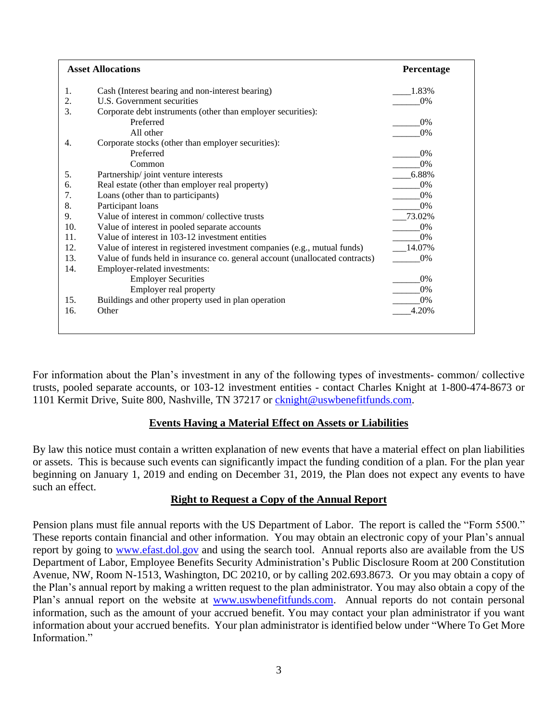| <b>Asset Allocations</b> |                                                                              | Percentage |
|--------------------------|------------------------------------------------------------------------------|------------|
| 1.                       | Cash (Interest bearing and non-interest bearing)                             | 1.83%      |
| 2.                       | U.S. Government securities                                                   | 0%         |
| 3.                       | Corporate debt instruments (other than employer securities):                 |            |
|                          | Preferred                                                                    | 0%         |
|                          | All other                                                                    | 0%         |
| 4.                       | Corporate stocks (other than employer securities):                           |            |
|                          | Preferred                                                                    | 0%         |
|                          | Common                                                                       | 0%         |
| 5.                       | Partnership/joint venture interests                                          | 6.88%      |
| 6.                       | Real estate (other than employer real property)                              | 0%         |
| 7.                       | Loans (other than to participants)                                           | 0%         |
| 8.                       | Participant loans                                                            | $0\%$      |
| 9.                       | Value of interest in common/collective trusts                                | 73.02%     |
| 10.                      | Value of interest in pooled separate accounts                                | 0%         |
| 11.                      | Value of interest in 103-12 investment entities                              | $0\%$      |
| 12.                      | Value of interest in registered investment companies (e.g., mutual funds)    | 14.07%     |
| 13.                      | Value of funds held in insurance co. general account (unallocated contracts) | 0%         |
| 14.                      | Employer-related investments:                                                |            |
|                          | <b>Employer Securities</b>                                                   | $0\%$      |
|                          | Employer real property                                                       | 0%         |
| 15.                      | Buildings and other property used in plan operation                          | 0%         |
| 16.                      | Other                                                                        | 4.20%      |
|                          |                                                                              |            |

For information about the Plan's investment in any of the following types of investments-common/ collective trusts, pooled separate accounts, or 103-12 investment entities - contact Charles Knight at 1-800-474-8673 or 1101 Kermit Drive, Suite 800, Nashville, TN 37217 or [cknight@uswbenefitfunds.com.](mailto:cknight@uswbenefitfunds.com)

# **Events Having a Material Effect on Assets or Liabilities**

By law this notice must contain a written explanation of new events that have a material effect on plan liabilities or assets. This is because such events can significantly impact the funding condition of a plan. For the plan year beginning on January 1, 2019 and ending on December 31, 2019*,* the Plan does not expect any events to have such an effect.

# **Right to Request a Copy of the Annual Report**

Pension plans must file annual reports with the US Department of Labor. The report is called the "Form 5500." These reports contain financial and other information. You may obtain an electronic copy of your Plan's annual report by going to [www.efast.dol.gov](http://www.efast.dol.gov/) and using the search tool. Annual reports also are available from the US Department of Labor, Employee Benefits Security Administration's Public Disclosure Room at 200 Constitution Avenue, NW, Room N-1513, Washington, DC 20210, or by calling 202.693.8673. Or you may obtain a copy of the Plan's annual report by making a written request to the plan administrator. You may also obtain a copy of the Plan's annual report on the website at [www.uswbenefitfunds.com.](http://www.uswbenefitfunds.com/) Annual reports do not contain personal information, such as the amount of your accrued benefit. You may contact your plan administrator if you want information about your accrued benefits. Your plan administrator is identified below under "Where To Get More Information."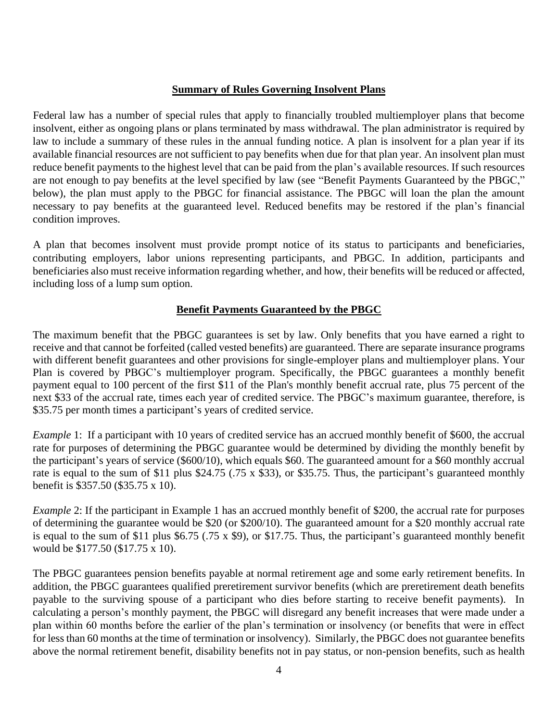#### **Summary of Rules Governing Insolvent Plans**

Federal law has a number of special rules that apply to financially troubled multiemployer plans that become insolvent, either as ongoing plans or plans terminated by mass withdrawal. The plan administrator is required by law to include a summary of these rules in the annual funding notice. A plan is insolvent for a plan year if its available financial resources are not sufficient to pay benefits when due for that plan year. An insolvent plan must reduce benefit payments to the highest level that can be paid from the plan's available resources. If such resources are not enough to pay benefits at the level specified by law (see "Benefit Payments Guaranteed by the PBGC," below), the plan must apply to the PBGC for financial assistance. The PBGC will loan the plan the amount necessary to pay benefits at the guaranteed level. Reduced benefits may be restored if the plan's financial condition improves.

A plan that becomes insolvent must provide prompt notice of its status to participants and beneficiaries, contributing employers, labor unions representing participants, and PBGC. In addition, participants and beneficiaries also must receive information regarding whether, and how, their benefits will be reduced or affected, including loss of a lump sum option.

## **Benefit Payments Guaranteed by the PBGC**

The maximum benefit that the PBGC guarantees is set by law. Only benefits that you have earned a right to receive and that cannot be forfeited (called vested benefits) are guaranteed. There are separate insurance programs with different benefit guarantees and other provisions for single-employer plans and multiemployer plans. Your Plan is covered by PBGC's multiemployer program. Specifically, the PBGC guarantees a monthly benefit payment equal to 100 percent of the first \$11 of the Plan's monthly benefit accrual rate, plus 75 percent of the next \$33 of the accrual rate, times each year of credited service. The PBGC's maximum guarantee, therefore, is \$35.75 per month times a participant's years of credited service.

*Example 1*: If a participant with 10 years of credited service has an accrued monthly benefit of \$600, the accrual rate for purposes of determining the PBGC guarantee would be determined by dividing the monthly benefit by the participant's years of service (\$600/10), which equals \$60. The guaranteed amount for a \$60 monthly accrual rate is equal to the sum of \$11 plus \$24.75 (.75 x \$33), or \$35.75. Thus, the participant's guaranteed monthly benefit is \$357.50 (\$35.75 x 10).

*Example 2*: If the participant in Example 1 has an accrued monthly benefit of \$200, the accrual rate for purposes of determining the guarantee would be \$20 (or \$200/10). The guaranteed amount for a \$20 monthly accrual rate is equal to the sum of \$11 plus \$6.75 (.75 x \$9), or \$17.75. Thus, the participant's guaranteed monthly benefit would be \$177.50 (\$17.75 x 10).

The PBGC guarantees pension benefits payable at normal retirement age and some early retirement benefits. In addition, the PBGC guarantees qualified preretirement survivor benefits (which are preretirement death benefits payable to the surviving spouse of a participant who dies before starting to receive benefit payments). In calculating a person's monthly payment, the PBGC will disregard any benefit increases that were made under a plan within 60 months before the earlier of the plan's termination or insolvency (or benefits that were in effect for less than 60 months at the time of termination or insolvency). Similarly, the PBGC does not guarantee benefits above the normal retirement benefit, disability benefits not in pay status, or non-pension benefits, such as health